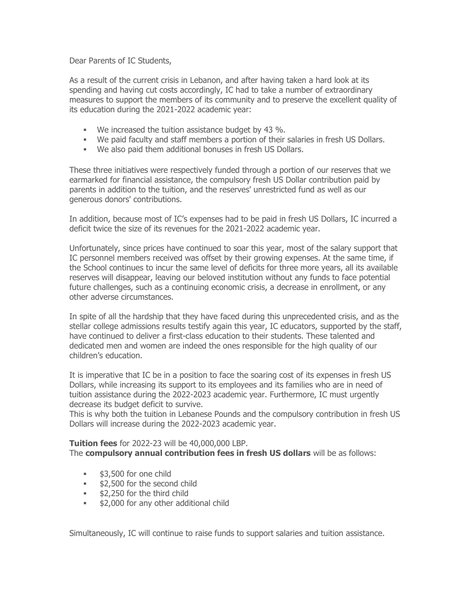Dear Parents of IC Students,

As a result of the current crisis in Lebanon, and after having taken a hard look at its spending and having cut costs accordingly, IC had to take a number of extraordinary measures to support the members of its community and to preserve the excellent quality of its education during the 2021-2022 academic year:

- We increased the tuition assistance budget by 43 %.
- We paid faculty and staff members a portion of their salaries in fresh US Dollars.
- We also paid them additional bonuses in fresh US Dollars.

These three initiatives were respectively funded through a portion of our reserves that we earmarked for financial assistance, the compulsory fresh US Dollar contribution paid by parents in addition to the tuition, and the reserves' unrestricted fund as well as our generous donors' contributions.

In addition, because most of IC's expenses had to be paid in fresh US Dollars, IC incurred a deficit twice the size of its revenues for the 2021-2022 academic year.

Unfortunately, since prices have continued to soar this year, most of the salary support that IC personnel members received was offset by their growing expenses. At the same time, if the School continues to incur the same level of deficits for three more years, all its available reserves will disappear, leaving our beloved institution without any funds to face potential future challenges, such as a continuing economic crisis, a decrease in enrollment, or any other adverse circumstances.

In spite of all the hardship that they have faced during this unprecedented crisis, and as the stellar college admissions results testify again this year, IC educators, supported by the staff, have continued to deliver a first-class education to their students. These talented and dedicated men and women are indeed the ones responsible for the high quality of our children's education.

It is imperative that IC be in a position to face the soaring cost of its expenses in fresh US Dollars, while increasing its support to its employees and its families who are in need of tuition assistance during the 2022-2023 academic year. Furthermore, IC must urgently decrease its budget deficit to survive.

This is why both the tuition in Lebanese Pounds and the compulsory contribution in fresh US Dollars will increase during the 2022-2023 academic year.

## **Tuition fees** for 2022-23 will be 40,000,000 LBP.

The **compulsory annual contribution fees in fresh US dollars** will be as follows:

- **53,500 for one child**
- **\$2,500 for the second child**
- **52,250 for the third child**
- **\$2,000 for any other additional child**

Simultaneously, IC will continue to raise funds to support salaries and tuition assistance.